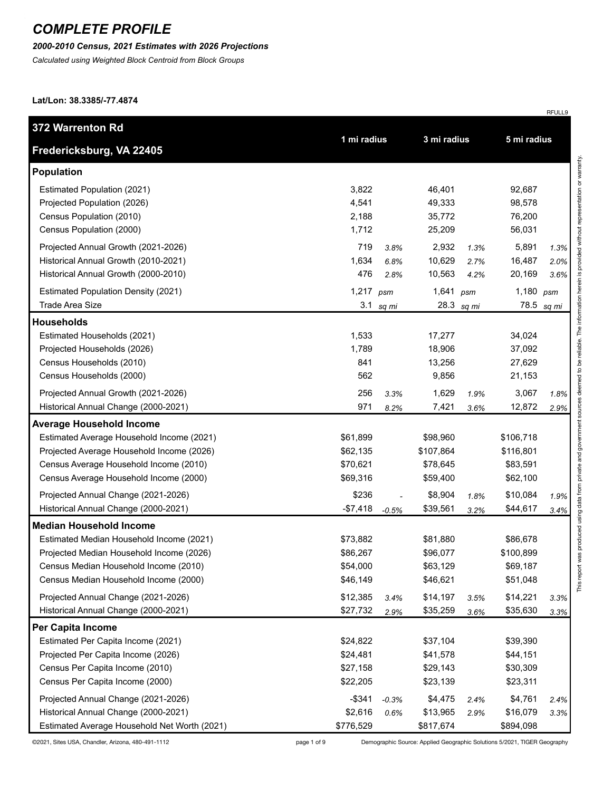#### *2000-2010 Census, 2021 Estimates with 2026 Projections*

*Calculated using Weighted Block Centroid from Block Groups*

**Lat/Lon: 38.3385/-77.4874**

| 372 Warrenton Rd                             |             |         | 3 mi radius |            | 5 mi radius |       |
|----------------------------------------------|-------------|---------|-------------|------------|-------------|-------|
| Fredericksburg, VA 22405                     | 1 mi radius |         |             |            |             |       |
| <b>Population</b>                            |             |         |             |            |             |       |
| Estimated Population (2021)                  | 3,822       |         | 46,401      |            | 92,687      |       |
| Projected Population (2026)                  | 4,541       |         | 49,333      |            | 98,578      |       |
| Census Population (2010)                     | 2,188       |         | 35,772      |            | 76,200      |       |
| Census Population (2000)                     | 1,712       |         | 25,209      |            | 56,031      |       |
| Projected Annual Growth (2021-2026)          | 719         | 3.8%    | 2,932       | 1.3%       | 5,891       | 1.3%  |
| Historical Annual Growth (2010-2021)         | 1,634       | 6.8%    | 10,629      | 2.7%       | 16,487      | 2.0%  |
| Historical Annual Growth (2000-2010)         | 476         | 2.8%    | 10,563      | 4.2%       | 20,169      | 3.6%  |
| <b>Estimated Population Density (2021)</b>   | 1,217       | psm     | 1,641       | psm        | 1,180       | psm   |
| <b>Trade Area Size</b>                       | 3.1         | sq mi   |             | 28.3 sq mi | 78.5        | sq mi |
| <b>Households</b>                            |             |         |             |            |             |       |
| Estimated Households (2021)                  | 1,533       |         | 17,277      |            | 34,024      |       |
| Projected Households (2026)                  | 1,789       |         | 18,906      |            | 37,092      |       |
| Census Households (2010)                     | 841         |         | 13,256      |            | 27,629      |       |
| Census Households (2000)                     | 562         |         | 9,856       |            | 21,153      |       |
| Projected Annual Growth (2021-2026)          | 256         | 3.3%    | 1,629       | 1.9%       | 3,067       | 1.8%  |
| Historical Annual Change (2000-2021)         | 971         | 8.2%    | 7,421       | 3.6%       | 12,872      | 2.9%  |
| <b>Average Household Income</b>              |             |         |             |            |             |       |
| Estimated Average Household Income (2021)    | \$61,899    |         | \$98,960    |            | \$106,718   |       |
| Projected Average Household Income (2026)    | \$62,135    |         | \$107,864   |            | \$116,801   |       |
| Census Average Household Income (2010)       | \$70,621    |         | \$78,645    |            | \$83,591    |       |
| Census Average Household Income (2000)       | \$69,316    |         | \$59,400    |            | \$62,100    |       |
| Projected Annual Change (2021-2026)          | \$236       |         | \$8,904     | 1.8%       | \$10,084    | 1.9%  |
| Historical Annual Change (2000-2021)         | $-$7,418$   | $-0.5%$ | \$39,561    | 3.2%       | \$44,617    | 3.4%  |
| <b>Median Household Income</b>               |             |         |             |            |             |       |
| Estimated Median Household Income (2021)     | \$73,882    |         | \$81,880    |            | \$86,678    |       |
| Projected Median Household Income (2026)     | \$86,267    |         | \$96,077    |            | \$100,899   |       |
| Census Median Household Income (2010)        | \$54,000    |         | \$63,129    |            | \$69,187    |       |
| Census Median Household Income (2000)        | \$46,149    |         | \$46,621    |            | \$51,048    |       |
| Projected Annual Change (2021-2026)          | \$12,385    | 3.4%    | \$14,197    | 3.5%       | \$14,221    | 3.3%  |
| Historical Annual Change (2000-2021)         | \$27,732    | 2.9%    | \$35,259    | 3.6%       | \$35,630    | 3.3%  |
| <b>Per Capita Income</b>                     |             |         |             |            |             |       |
| Estimated Per Capita Income (2021)           | \$24,822    |         | \$37,104    |            | \$39,390    |       |
| Projected Per Capita Income (2026)           | \$24,481    |         | \$41,578    |            | \$44,151    |       |
| Census Per Capita Income (2010)              | \$27,158    |         | \$29,143    |            | \$30,309    |       |
| Census Per Capita Income (2000)              | \$22,205    |         | \$23,139    |            | \$23,311    |       |
| Projected Annual Change (2021-2026)          | $-$ \$341   | $-0.3%$ | \$4,475     | 2.4%       | \$4,761     | 2.4%  |
| Historical Annual Change (2000-2021)         | \$2,616     | 0.6%    | \$13,965    | 2.9%       | \$16,079    | 3.3%  |
| Estimated Average Household Net Worth (2021) | \$776,529   |         | \$817,674   |            | \$894,098   |       |

©2021, Sites USA, Chandler, Arizona, 480-491-1112 page 1 of 9 Demographic Source: Applied Geographic Solutions 5/2021, TIGER Geography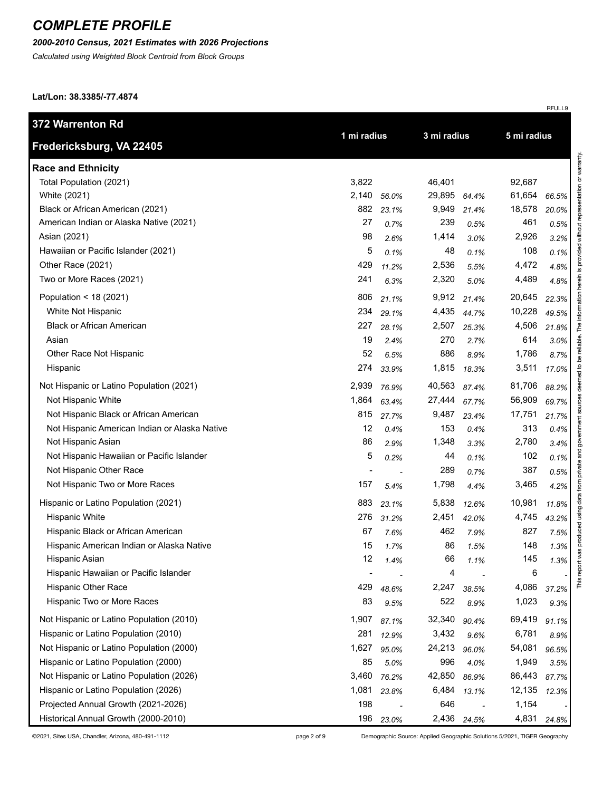### *2000-2010 Census, 2021 Estimates with 2026 Projections*

*Calculated using Weighted Block Centroid from Block Groups*

**Lat/Lon: 38.3385/-77.4874**

| 372 Warrenton Rd                              |                          |       |             |       |             |       |
|-----------------------------------------------|--------------------------|-------|-------------|-------|-------------|-------|
| Fredericksburg, VA 22405                      | 1 mi radius              |       | 3 mi radius |       | 5 mi radius |       |
| <b>Race and Ethnicity</b>                     |                          |       |             |       |             |       |
| Total Population (2021)                       | 3,822                    |       | 46,401      |       | 92,687      |       |
| White (2021)                                  | 2,140                    | 56.0% | 29,895      | 64.4% | 61,654      | 66.5% |
| Black or African American (2021)              | 882                      | 23.1% | 9,949       | 21.4% | 18,578      | 20.0% |
| American Indian or Alaska Native (2021)       | 27                       | 0.7%  | 239         | 0.5%  | 461         | 0.5%  |
| Asian (2021)                                  | 98                       | 2.6%  | 1,414       | 3.0%  | 2,926       | 3.2%  |
| Hawaiian or Pacific Islander (2021)           | 5                        | 0.1%  | 48          | 0.1%  | 108         | 0.1%  |
| Other Race (2021)                             | 429                      | 11.2% | 2,536       | 5.5%  | 4,472       | 4.8%  |
| Two or More Races (2021)                      | 241                      | 6.3%  | 2,320       | 5.0%  | 4,489       | 4.8%  |
| Population < 18 (2021)                        | 806                      | 21.1% | 9,912       | 21.4% | 20,645      | 22.3% |
| White Not Hispanic                            | 234                      | 29.1% | 4,435       | 44.7% | 10,228      | 49.5% |
| <b>Black or African American</b>              | 227                      | 28.1% | 2,507       | 25.3% | 4,506       | 21.8% |
| Asian                                         | 19                       | 2.4%  | 270         | 2.7%  | 614         | 3.0%  |
| Other Race Not Hispanic                       | 52                       | 6.5%  | 886         | 8.9%  | 1,786       | 8.7%  |
| Hispanic                                      | 274                      | 33.9% | 1,815       | 18.3% | 3,511       | 17.0% |
| Not Hispanic or Latino Population (2021)      | 2,939                    | 76.9% | 40,563      | 87.4% | 81,706      | 88.2% |
| Not Hispanic White                            | 1,864                    | 63.4% | 27,444      | 67.7% | 56,909      | 69.7% |
| Not Hispanic Black or African American        | 815                      | 27.7% | 9,487       | 23.4% | 17,751      | 21.7% |
| Not Hispanic American Indian or Alaska Native | 12                       | 0.4%  | 153         | 0.4%  | 313         | 0.4%  |
| Not Hispanic Asian                            | 86                       | 2.9%  | 1,348       | 3.3%  | 2,780       | 3.4%  |
| Not Hispanic Hawaiian or Pacific Islander     | 5                        | 0.2%  | 44          | 0.1%  | 102         | 0.1%  |
| Not Hispanic Other Race                       | $\blacksquare$           |       | 289         | 0.7%  | 387         | 0.5%  |
| Not Hispanic Two or More Races                | 157                      | 5.4%  | 1,798       | 4.4%  | 3,465       | 4.2%  |
| Hispanic or Latino Population (2021)          | 883                      | 23.1% | 5,838       | 12.6% | 10,981      | 11.8% |
| <b>Hispanic White</b>                         | 276                      | 31.2% | 2,451       | 42.0% | 4,745       | 43.2% |
| Hispanic Black or African American            | 67                       | 7.6%  | 462         | 7.9%  | 827         | 7.5%  |
| Hispanic American Indian or Alaska Native     | 15                       | 1.7%  | 86          | 1.5%  | 148         | 1.3%  |
| Hispanic Asian                                | 12                       | 1.4%  | 66          | 1.1%  | 145         | 1.3%  |
| Hispanic Hawaiian or Pacific Islander         | $\overline{\phantom{a}}$ |       | 4           |       | 6           |       |
| Hispanic Other Race                           | 429                      | 48.6% | 2,247       | 38.5% | 4,086       | 37.2% |
| Hispanic Two or More Races                    | 83                       | 9.5%  | 522         | 8.9%  | 1,023       | 9.3%  |
| Not Hispanic or Latino Population (2010)      | 1,907                    | 87.1% | 32,340      | 90.4% | 69,419      | 91.1% |
| Hispanic or Latino Population (2010)          | 281                      | 12.9% | 3,432       | 9.6%  | 6,781       | 8.9%  |
| Not Hispanic or Latino Population (2000)      | 1,627                    | 95.0% | 24,213      | 96.0% | 54,081      | 96.5% |
| Hispanic or Latino Population (2000)          | 85                       | 5.0%  | 996         | 4.0%  | 1,949       | 3.5%  |
| Not Hispanic or Latino Population (2026)      | 3,460                    | 76.2% | 42,850      | 86.9% | 86,443      | 87.7% |
| Hispanic or Latino Population (2026)          | 1,081                    | 23.8% | 6,484       | 13.1% | 12,135      | 12.3% |
| Projected Annual Growth (2021-2026)           | 198                      |       | 646         |       | 1,154       |       |
| Historical Annual Growth (2000-2010)          | 196                      | 23.0% | 2,436       | 24.5% | 4,831       | 24.8% |

©2021, Sites USA, Chandler, Arizona, 480-491-1112 page 2 of 9 Demographic Source: Applied Geographic Solutions 5/2021, TIGER Geography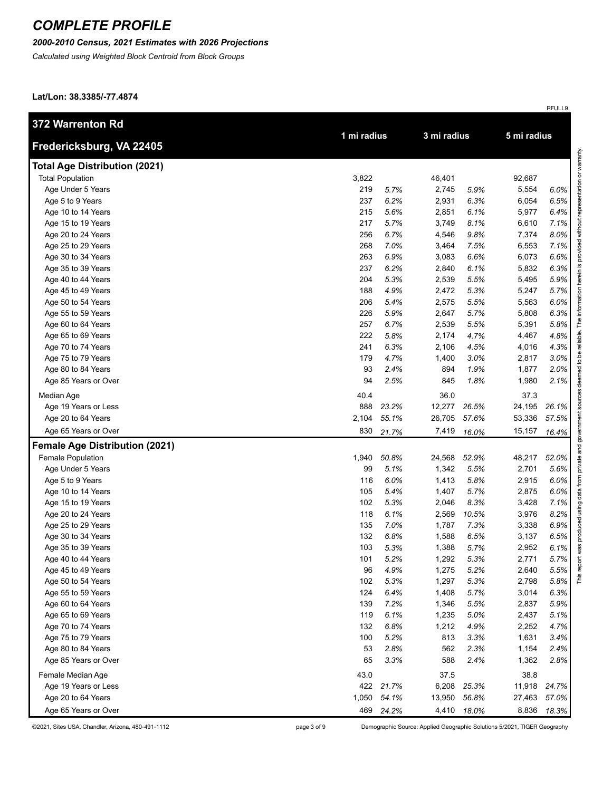#### *2000-2010 Census, 2021 Estimates with 2026 Projections*

*Calculated using Weighted Block Centroid from Block Groups*

**Lat/Lon: 38.3385/-77.4874**

| 372 Warrenton Rd                      |             |           |             |       |             |       |
|---------------------------------------|-------------|-----------|-------------|-------|-------------|-------|
| Fredericksburg, VA 22405              | 1 mi radius |           | 3 mi radius |       | 5 mi radius |       |
| <b>Total Age Distribution (2021)</b>  |             |           |             |       |             |       |
| <b>Total Population</b>               | 3,822       |           | 46,401      |       | 92,687      |       |
| Age Under 5 Years                     | 219         | 5.7%      | 2,745       | 5.9%  | 5,554       | 6.0%  |
| Age 5 to 9 Years                      | 237         | 6.2%      | 2,931       | 6.3%  | 6,054       | 6.5%  |
| Age 10 to 14 Years                    | 215         | 5.6%      | 2,851       | 6.1%  | 5,977       | 6.4%  |
| Age 15 to 19 Years                    | 217         | 5.7%      | 3,749       | 8.1%  | 6,610       | 7.1%  |
| Age 20 to 24 Years                    | 256         | 6.7%      | 4,546       | 9.8%  | 7,374       | 8.0%  |
| Age 25 to 29 Years                    | 268         | 7.0%      | 3,464       | 7.5%  | 6,553       | 7.1%  |
| Age 30 to 34 Years                    | 263         | 6.9%      | 3,083       | 6.6%  | 6,073       | 6.6%  |
| Age 35 to 39 Years                    | 237         | 6.2%      | 2,840       | 6.1%  | 5,832       | 6.3%  |
| Age 40 to 44 Years                    | 204         | 5.3%      | 2,539       | 5.5%  | 5,495       | 5.9%  |
| Age 45 to 49 Years                    | 188         | 4.9%      | 2,472       | 5.3%  | 5,247       | 5.7%  |
| Age 50 to 54 Years                    | 206         | 5.4%      | 2,575       | 5.5%  | 5,563       | 6.0%  |
| Age 55 to 59 Years                    | 226         | 5.9%      | 2,647       | 5.7%  | 5,808       | 6.3%  |
| Age 60 to 64 Years                    | 257         | 6.7%      | 2,539       | 5.5%  | 5,391       | 5.8%  |
| Age 65 to 69 Years                    | 222         | 5.8%      | 2,174       | 4.7%  | 4,467       | 4.8%  |
| Age 70 to 74 Years                    | 241         | 6.3%      | 2,106       | 4.5%  | 4,016       | 4.3%  |
| Age 75 to 79 Years                    | 179         | 4.7%      | 1,400       | 3.0%  | 2,817       | 3.0%  |
| Age 80 to 84 Years                    | 93          | 2.4%      | 894         | 1.9%  | 1,877       | 2.0%  |
| Age 85 Years or Over                  | 94          | 2.5%      | 845         | 1.8%  | 1,980       | 2.1%  |
| Median Age                            | 40.4        |           | 36.0        |       | 37.3        |       |
| Age 19 Years or Less                  | 888         | 23.2%     | 12,277      | 26.5% | 24,195      | 26.1% |
| Age 20 to 64 Years                    | 2,104       | 55.1%     | 26,705      | 57.6% | 53,336      | 57.5% |
| Age 65 Years or Over                  | 830         | 21.7%     | 7,419       | 16.0% | 15,157      | 16.4% |
| <b>Female Age Distribution (2021)</b> |             |           |             |       |             |       |
| <b>Female Population</b>              | 1,940       | 50.8%     | 24,568      | 52.9% | 48,217      | 52.0% |
| Age Under 5 Years                     | 99          | 5.1%      | 1,342       | 5.5%  | 2,701       | 5.6%  |
| Age 5 to 9 Years                      | 116         | 6.0%      | 1,413       | 5.8%  | 2,915       | 6.0%  |
| Age 10 to 14 Years                    | 105         | 5.4%      | 1,407       | 5.7%  | 2,875       | 6.0%  |
| Age 15 to 19 Years                    | 102         | 5.3%      | 2,046       | 8.3%  | 3,428       | 7.1%  |
| Age 20 to 24 Years                    | 118         | 6.1%      | 2,569       | 10.5% | 3,976       | 8.2%  |
| Age 25 to 29 Years                    | 135         | 7.0%      | 1,787       | 7.3%  | 3,338       | 6.9%  |
| Age 30 to 34 Years                    | 132         | 6.8%      | 1,588       | 6.5%  | 3,137       | 6.5%  |
| Age 35 to 39 Years                    | 103         | 5.3%      | 1,388       | 5.7%  | 2,952       | 6.1%  |
| Age 40 to 44 Years                    | 101         | 5.2%      | 1,292       | 5.3%  | 2,771       | 5.7%  |
| Age 45 to 49 Years                    | 96          | 4.9%      | 1,275       | 5.2%  | 2,640       | 5.5%  |
| Age 50 to 54 Years                    | 102         | 5.3%      | 1,297       | 5.3%  | 2,798       | 5.8%  |
| Age 55 to 59 Years                    | 124         | 6.4%      | 1,408       | 5.7%  | 3,014       | 6.3%  |
| Age 60 to 64 Years                    | 139         | 7.2%      | 1,346       | 5.5%  | 2,837       | 5.9%  |
| Age 65 to 69 Years                    | 119         | 6.1%      | 1,235       | 5.0%  | 2,437       | 5.1%  |
| Age 70 to 74 Years                    | 132         | 6.8%      | 1,212       | 4.9%  | 2,252       | 4.7%  |
| Age 75 to 79 Years                    | 100         | 5.2%      | 813         | 3.3%  | 1,631       | 3.4%  |
| Age 80 to 84 Years                    | 53          | 2.8%      | 562         | 2.3%  | 1,154       | 2.4%  |
| Age 85 Years or Over                  | 65          | 3.3%      | 588         | 2.4%  | 1,362       | 2.8%  |
| Female Median Age                     | 43.0        |           | 37.5        |       | 38.8        |       |
| Age 19 Years or Less                  |             | 422 21.7% | 6,208       | 25.3% | 11,918      | 24.7% |
| Age 20 to 64 Years                    | 1,050       | 54.1%     | 13,950      | 56.8% | 27,463      | 57.0% |
| Age 65 Years or Over                  | 469         | 24.2%     | 4,410       | 18.0% | 8,836       | 18.3% |

©2021, Sites USA, Chandler, Arizona, 480-491-1112 page 3 of 9 Demographic Source: Applied Geographic Solutions 5/2021, TIGER Geography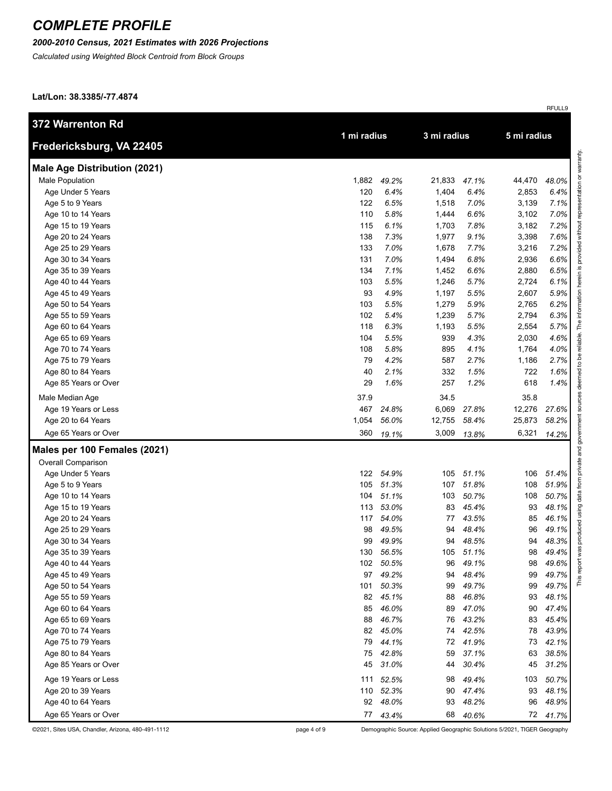### *2000-2010 Census, 2021 Estimates with 2026 Projections*

*Calculated using Weighted Block Centroid from Block Groups*

**Lat/Lon: 38.3385/-77.4874**

| 372 Warrenton Rd                    |       |             | 3 mi radius |       |             |          |                             |
|-------------------------------------|-------|-------------|-------------|-------|-------------|----------|-----------------------------|
| Fredericksburg, VA 22405            |       | 1 mi radius |             |       | 5 mi radius |          |                             |
| <b>Male Age Distribution (2021)</b> |       |             |             |       |             |          | representation or warranty. |
| Male Population                     | 1,882 | 49.2%       | 21,833      | 47.1% | 44,470      | 48.0%    |                             |
| Age Under 5 Years                   | 120   | 6.4%        | 1,404       | 6.4%  | 2,853       | 6.4%     |                             |
| Age 5 to 9 Years                    | 122   | 6.5%        | 1,518       | 7.0%  | 3,139       | 7.1%     |                             |
| Age 10 to 14 Years                  | 110   | 5.8%        | 1,444       | 6.6%  | 3,102       | 7.0%     |                             |
| Age 15 to 19 Years                  | 115   | 6.1%        | 1,703       | 7.8%  | 3,182       | 7.2%     | without                     |
| Age 20 to 24 Years                  | 138   | 7.3%        | 1,977       | 9.1%  | 3,398       | 7.6%     |                             |
| Age 25 to 29 Years                  | 133   | 7.0%        | 1,678       | 7.7%  | 3,216       | 7.2%     | pepivo                      |
| Age 30 to 34 Years                  | 131   | 7.0%        | 1,494       | 6.8%  | 2,936       | 6.6%     |                             |
| Age 35 to 39 Years                  | 134   | 7.1%        | 1,452       | 6.6%  | 2,880       | 6.5%     |                             |
| Age 40 to 44 Years                  | 103   | 5.5%        | 1,246       | 5.7%  | 2,724       | 6.1%     |                             |
| Age 45 to 49 Years                  | 93    | 4.9%        | 1,197       | 5.5%  | 2,607       | 5.9%     |                             |
| Age 50 to 54 Years                  | 103   | 5.5%        | 1,279       | 5.9%  | 2,765       | 6.2%     |                             |
| Age 55 to 59 Years                  | 102   | 5.4%        | 1,239       | 5.7%  | 2,794       | 6.3%     |                             |
| Age 60 to 64 Years                  | 118   | 6.3%        | 1,193       | 5.5%  | 2,554       | 5.7%     | The                         |
| Age 65 to 69 Years                  | 104   | 5.5%        | 939         | 4.3%  | 2,030       | 4.6%     | reliable.                   |
| Age 70 to 74 Years                  | 108   | 5.8%        | 895         | 4.1%  | 1,764       | 4.0%     | ತಿ                          |
| Age 75 to 79 Years                  | 79    | 4.2%        | 587         | 2.7%  | 1,186       | 2.7%     | $\overline{c}$              |
| Age 80 to 84 Years                  | 40    | 2.1%        | 332         | 1.5%  | 722         | 1.6%     |                             |
| Age 85 Years or Over                | 29    | 1.6%        | 257         | 1.2%  | 618         | 1.4%     |                             |
| Male Median Age                     | 37.9  |             | 34.5        |       | 35.8        |          |                             |
| Age 19 Years or Less                | 467   | 24.8%       | 6,069       | 27.8% | 12,276      | 27.6%    |                             |
| Age 20 to 64 Years                  | 1,054 | 56.0%       | 12,755      | 58.4% | 25,873      | 58.2%    |                             |
| Age 65 Years or Over                | 360   | 19.1%       | 3,009       | 13.8% | 6,321       | 14.2%    | government                  |
| Males per 100 Females (2021)        |       |             |             |       |             |          | private and                 |
| <b>Overall Comparison</b>           |       |             |             |       |             |          |                             |
| Age Under 5 Years                   | 122   | 54.9%       | 105         | 51.1% | 106         | 51.4%    |                             |
| Age 5 to 9 Years                    | 105   | 51.3%       | 107         | 51.8% | 108         | 51.9%    | from                        |
| Age 10 to 14 Years                  | 104   | 51.1%       | 103         | 50.7% | 108         | 50.7%    | data                        |
| Age 15 to 19 Years                  | 113   | 53.0%       | 83          | 45.4% | 93          | 48.1%    | using                       |
| Age 20 to 24 Years                  | 117   | 54.0%       | 77          | 43.5% | 85          | 46.1%    |                             |
| Age 25 to 29 Years                  | 98    | 49.5%       | 94          | 48.4% | 96          | 49.1%    | produced                    |
| Age 30 to 34 Years                  | 99    | 49.9%       | 94          | 48.5% | 94          | 48.3%    |                             |
| Age 35 to 39 Years                  | 130   | 56.5%       | 105         | 51.1% | 98          | 49.4%    | report was                  |
| Age 40 to 44 Years                  | 102   | 50.5%       | 96          | 49.1% | 98          | 49.6%    |                             |
| Age 45 to 49 Years                  | 97    | 49.2%       | 94          | 48.4% | 99          | 49.7%    | This                        |
| Age 50 to 54 Years                  | 101   | 50.3%       | 99          | 49.7% | 99          | 49.7%    |                             |
| Age 55 to 59 Years                  | 82    | 45.1%       | 88          | 46.8% | 93          | 48.1%    |                             |
| Age 60 to 64 Years                  | 85    | 46.0%       | 89          | 47.0% | 90          | 47.4%    |                             |
| Age 65 to 69 Years                  | 88    | 46.7%       | 76          | 43.2% | 83          | 45.4%    |                             |
| Age 70 to 74 Years                  |       | 82 45.0%    | 74          | 42.5% | 78          | 43.9%    |                             |
| Age 75 to 79 Years                  | 79    | 44.1%       | 72          | 41.9% | 73          | 42.1%    |                             |
| Age 80 to 84 Years                  | 75    | 42.8%       | 59          | 37.1% | 63          | 38.5%    |                             |
| Age 85 Years or Over                | 45    | 31.0%       | 44          | 30.4% | 45          | 31.2%    |                             |
| Age 19 Years or Less                |       | 111 52.5%   | 98          | 49.4% | 103         | 50.7%    |                             |
| Age 20 to 39 Years                  |       | 110 52.3%   | 90          | 47.4% | 93          | 48.1%    |                             |
| Age 40 to 64 Years                  | 92    | 48.0%       | 93          | 48.2% | 96          | 48.9%    |                             |
| Age 65 Years or Over                |       | 77 43.4%    | 68          | 40.6% |             | 72 41.7% |                             |

©2021, Sites USA, Chandler, Arizona, 480-491-1112 page 4 of 9 Demographic Source: Applied Geographic Solutions 5/2021, TIGER Geography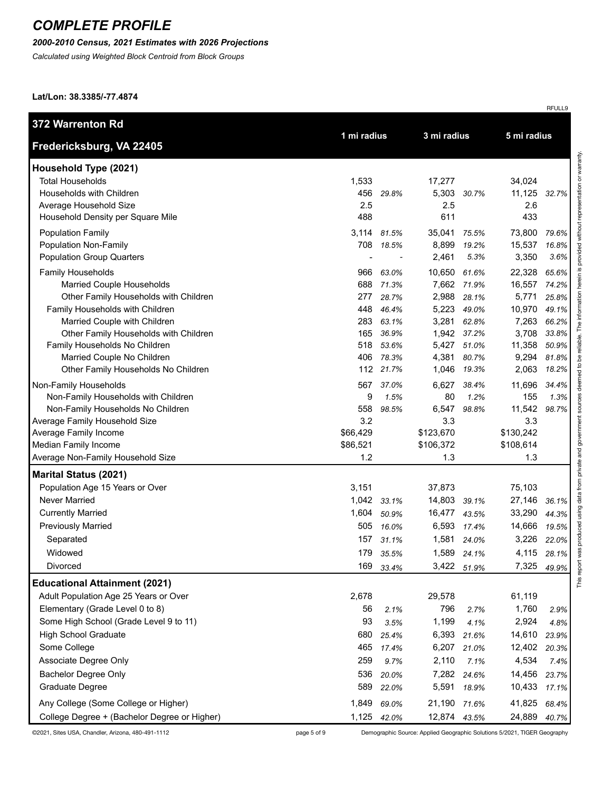#### *2000-2010 Census, 2021 Estimates with 2026 Projections*

*Calculated using Weighted Block Centroid from Block Groups*

**Lat/Lon: 38.3385/-77.4874**

| 372 Warrenton Rd                                                   |            |                |                |                |                 |                |
|--------------------------------------------------------------------|------------|----------------|----------------|----------------|-----------------|----------------|
| Fredericksburg, VA 22405                                           |            | 1 mi radius    |                | 3 mi radius    | 5 mi radius     |                |
| Household Type (2021)                                              |            |                |                |                |                 |                |
| <b>Total Households</b>                                            | 1,533      |                | 17,277         |                | 34,024          |                |
| Households with Children                                           | 456        | 29.8%          | 5,303          | 30.7%          | 11,125          | 32.7%          |
| Average Household Size                                             | 2.5        |                | 2.5            |                | 2.6             |                |
| Household Density per Square Mile                                  | 488        |                | 611            |                | 433             |                |
| <b>Population Family</b>                                           |            | 3,114 81.5%    | 35,041         | 75.5%          | 73,800          | 79.6%          |
| Population Non-Family                                              | 708        | 18.5%          | 8,899          | 19.2%          | 15,537          | 16.8%          |
| <b>Population Group Quarters</b>                                   |            |                | 2,461          | 5.3%           | 3,350           | 3.6%           |
| <b>Family Households</b>                                           | 966        | 63.0%          | 10,650         | 61.6%          | 22,328          | 65.6%          |
| Married Couple Households                                          | 688        | 71.3%          |                | 7,662 71.9%    | 16,557          | 74.2%          |
| Other Family Households with Children                              | 277        | 28.7%          | 2,988          | 28.1%          | 5,771           | 25.8%          |
| Family Households with Children                                    | 448        | 46.4%          | 5,223          | 49.0%          | 10,970          | 49.1%          |
| Married Couple with Children                                       | 283        | 63.1%          | 3,281          | 62.8%          | 7,263           | 66.2%          |
| Other Family Households with Children                              | 165        | 36.9%          | 1,942          | 37.2%          | 3,708           | 33.8%          |
| Family Households No Children<br>Married Couple No Children        | 518<br>406 | 53.6%<br>78.3% | 5,427<br>4,381 | 51.0%<br>80.7% | 11,358<br>9,294 | 50.9%<br>81.8% |
| Other Family Households No Children                                |            | 112 21.7%      | 1,046          | 19.3%          | 2,063           | 18.2%          |
|                                                                    |            |                |                |                |                 |                |
| Non-Family Households                                              | 567        | 37.0%          | 6,627          | 38.4%          | 11,696          | 34.4%          |
| Non-Family Households with Children                                | 9          | 1.5%           | 80             | 1.2%           | 155             | 1.3%           |
| Non-Family Households No Children<br>Average Family Household Size | 558<br>3.2 | 98.5%          | 6,547<br>3.3   | 98.8%          | 11,542<br>3.3   | 98.7%          |
| Average Family Income                                              | \$66,429   |                | \$123,670      |                | \$130,242       |                |
| Median Family Income                                               | \$86,521   |                | \$106,372      |                | \$108,614       |                |
| Average Non-Family Household Size                                  | 1.2        |                | 1.3            |                | 1.3             |                |
| <b>Marital Status (2021)</b>                                       |            |                |                |                |                 |                |
| Population Age 15 Years or Over                                    | 3,151      |                | 37,873         |                | 75,103          |                |
| Never Married                                                      |            | 1,042 33.1%    | 14,803         | 39.1%          | 27,146          | 36.1%          |
| <b>Currently Married</b>                                           | 1,604      | 50.9%          | 16,477         | 43.5%          | 33,290          | 44.3%          |
| <b>Previously Married</b>                                          | 505        | 16.0%          | 6,593          | 17.4%          | 14,666          | 19.5%          |
| Separated                                                          | 157        | 31.1%          | 1,581          | 24.0%          | 3,226           | 22.0%          |
| Widowed                                                            | 179        | 35.5%          | 1,589          | 24.1%          | 4,115           | 28.1%          |
| Divorced                                                           | 169        | 33.4%          | 3,422          | 51.9%          | 7,325           | 49.9%          |
| <b>Educational Attainment (2021)</b>                               |            |                |                |                |                 |                |
| Adult Population Age 25 Years or Over                              | 2,678      |                | 29,578         |                | 61,119          |                |
| Elementary (Grade Level 0 to 8)                                    | 56         | 2.1%           | 796            | 2.7%           | 1,760           | 2.9%           |
| Some High School (Grade Level 9 to 11)                             | 93         | 3.5%           | 1,199          | 4.1%           | 2,924           | 4.8%           |
| <b>High School Graduate</b>                                        | 680        | 25.4%          | 6,393          | 21.6%          | 14,610          | 23.9%          |
| Some College                                                       | 465        | 17.4%          | 6,207          | 21.0%          | 12,402          | 20.3%          |
| Associate Degree Only                                              | 259        | 9.7%           | 2,110          | 7.1%           | 4,534           | 7.4%           |
| Bachelor Degree Only                                               | 536        | 20.0%          | 7,282          | 24.6%          | 14,456          | 23.7%          |
| Graduate Degree                                                    | 589        | 22.0%          | 5,591          | 18.9%          | 10,433          | 17.1%          |
| Any College (Some College or Higher)                               | 1,849      | 69.0%          | 21,190         | 71.6%          | 41,825          | 68.4%          |
| College Degree + (Bachelor Degree or Higher)                       |            | 1,125 42.0%    | 12,874 43.5%   |                | 24,889          | 40.7%          |

©2021, Sites USA, Chandler, Arizona, 480-491-1112 page 5 of 9 Demographic Source: Applied Geographic Solutions 5/2021, TIGER Geography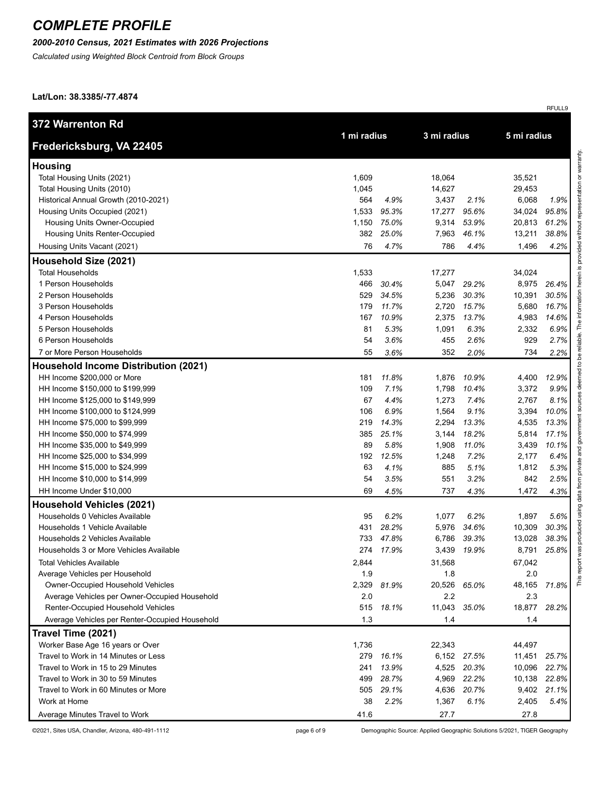#### *2000-2010 Census, 2021 Estimates with 2026 Projections*

*Calculated using Weighted Block Centroid from Block Groups*

**Lat/Lon: 38.3385/-77.4874**

| <b>372 Warrenton Rd</b>                        |       |             |        |             | 5 mi radius |       |
|------------------------------------------------|-------|-------------|--------|-------------|-------------|-------|
| Fredericksburg, VA 22405                       |       | 1 mi radius |        | 3 mi radius |             |       |
| <b>Housing</b>                                 |       |             |        |             |             |       |
| Total Housing Units (2021)                     | 1,609 |             | 18,064 |             | 35,521      |       |
| Total Housing Units (2010)                     | 1,045 |             | 14,627 |             | 29,453      |       |
| Historical Annual Growth (2010-2021)           | 564   | 4.9%        | 3,437  | 2.1%        | 6,068       | 1.9%  |
| Housing Units Occupied (2021)                  | 1,533 | 95.3%       | 17,277 | 95.6%       | 34,024      | 95.8% |
| Housing Units Owner-Occupied                   | 1,150 | 75.0%       | 9,314  | 53.9%       | 20,813      | 61.2% |
| Housing Units Renter-Occupied                  | 382   | 25.0%       | 7,963  | 46.1%       | 13,211      | 38.8% |
| Housing Units Vacant (2021)                    | 76    | 4.7%        | 786    | 4.4%        | 1,496       | 4.2%  |
| Household Size (2021)                          |       |             |        |             |             |       |
| <b>Total Households</b>                        | 1,533 |             | 17,277 |             | 34,024      |       |
| 1 Person Households                            | 466   | 30.4%       | 5,047  | 29.2%       | 8,975       | 26.4% |
| 2 Person Households                            | 529   | 34.5%       | 5,236  | 30.3%       | 10,391      | 30.5% |
| 3 Person Households                            | 179   | 11.7%       | 2,720  | 15.7%       | 5,680       | 16.7% |
| 4 Person Households                            | 167   | 10.9%       | 2,375  | 13.7%       | 4,983       | 14.6% |
| 5 Person Households                            | 81    | 5.3%        | 1,091  | 6.3%        | 2,332       | 6.9%  |
| 6 Person Households                            | 54    | 3.6%        | 455    | 2.6%        | 929         | 2.7%  |
| 7 or More Person Households                    | 55    | 3.6%        | 352    | 2.0%        | 734         | 2.2%  |
| <b>Household Income Distribution (2021)</b>    |       |             |        |             |             |       |
| HH Income \$200,000 or More                    | 181   | 11.8%       | 1,876  | 10.9%       | 4,400       | 12.9% |
| HH Income \$150,000 to \$199,999               | 109   | 7.1%        | 1,798  | 10.4%       | 3,372       | 9.9%  |
| HH Income \$125,000 to \$149,999               | 67    | 4.4%        | 1,273  | 7.4%        | 2,767       | 8.1%  |
| HH Income \$100,000 to \$124,999               | 106   | 6.9%        | 1,564  | 9.1%        | 3,394       | 10.0% |
| HH Income \$75,000 to \$99,999                 | 219   | 14.3%       | 2,294  | 13.3%       | 4,535       | 13.3% |
| HH Income \$50,000 to \$74,999                 | 385   | 25.1%       | 3,144  | 18.2%       | 5,814       | 17.1% |
| HH Income \$35,000 to \$49,999                 | 89    | 5.8%        | 1,908  | 11.0%       | 3,439       | 10.1% |
| HH Income \$25,000 to \$34,999                 | 192   | 12.5%       | 1,248  | 7.2%        | 2,177       | 6.4%  |
| HH Income \$15,000 to \$24,999                 | 63    | 4.1%        | 885    | 5.1%        | 1,812       | 5.3%  |
| HH Income \$10,000 to \$14,999                 | 54    | 3.5%        | 551    | 3.2%        | 842         | 2.5%  |
| HH Income Under \$10,000                       | 69    | 4.5%        | 737    | 4.3%        | 1,472       | 4.3%  |
| <b>Household Vehicles (2021)</b>               |       |             |        |             |             |       |
| Households 0 Vehicles Available                | 95    | 6.2%        | 1,077  | 6.2%        | 1,897       | 5.6%  |
| Households 1 Vehicle Available                 | 431   | 28.2%       | 5,976  | 34.6%       | 10,309      | 30.3% |
| Households 2 Vehicles Available                | 733   | 47.8%       | 6,786  | 39.3%       | 13,028      | 38.3% |
| Households 3 or More Vehicles Available        |       | 274 17.9%   | 3,439  | 19.9%       | 8,791       | 25.8% |
| <b>Total Vehicles Available</b>                | 2,844 |             | 31,568 |             | 67,042      |       |
| Average Vehicles per Household                 | 1.9   |             | 1.8    |             | 2.0         |       |
| Owner-Occupied Household Vehicles              | 2,329 | 81.9%       | 20,526 | 65.0%       | 48,165      | 71.8% |
| Average Vehicles per Owner-Occupied Household  | 2.0   |             | 2.2    |             | 2.3         |       |
| Renter-Occupied Household Vehicles             | 515   | 18.1%       | 11,043 | 35.0%       | 18,877      | 28.2% |
| Average Vehicles per Renter-Occupied Household | 1.3   |             | 1.4    |             | 1.4         |       |
| Travel Time (2021)                             |       |             |        |             |             |       |
| Worker Base Age 16 years or Over               | 1,736 |             | 22,343 |             | 44,497      |       |
| Travel to Work in 14 Minutes or Less           | 279   | 16.1%       | 6,152  | 27.5%       | 11,451      | 25.7% |
| Travel to Work in 15 to 29 Minutes             | 241   | 13.9%       | 4,525  | 20.3%       | 10,096      | 22.7% |
| Travel to Work in 30 to 59 Minutes             | 499   | 28.7%       | 4,969  | 22.2%       | 10,138      | 22.8% |
| Travel to Work in 60 Minutes or More           | 505   | 29.1%       | 4,636  | 20.7%       | 9,402       | 21.1% |
| Work at Home                                   | 38    | 2.2%        | 1,367  | 6.1%        | 2,405       | 5.4%  |
| Average Minutes Travel to Work                 | 41.6  |             | 27.7   |             | 27.8        |       |

©2021, Sites USA, Chandler, Arizona, 480-491-1112 page 6 of 9 Demographic Source: Applied Geographic Solutions 5/2021, TIGER Geography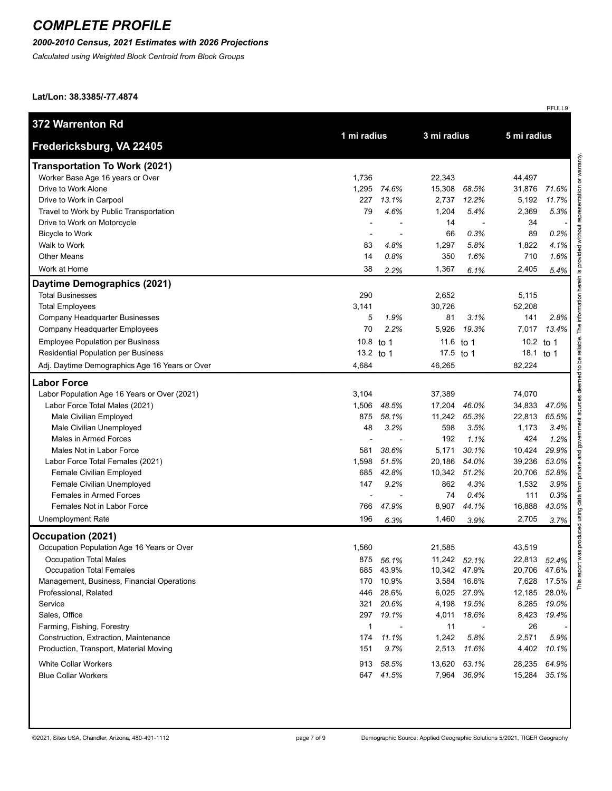#### *2000-2010 Census, 2021 Estimates with 2026 Projections*

*Calculated using Weighted Block Centroid from Block Groups*

**Lat/Lon: 38.3385/-77.4874**

| 372 Warrenton Rd                               | 1 mi radius  |                          | 3 mi radius |              | 5 mi radius  |       |
|------------------------------------------------|--------------|--------------------------|-------------|--------------|--------------|-------|
| Fredericksburg, VA 22405                       |              |                          |             |              |              |       |
| <b>Transportation To Work (2021)</b>           |              |                          |             |              |              |       |
| Worker Base Age 16 years or Over               | 1,736        |                          | 22,343      |              | 44,497       |       |
| Drive to Work Alone                            | 1,295        | 74.6%                    | 15,308      | 68.5%        | 31,876       | 71.6% |
| Drive to Work in Carpool                       | 227          | 13.1%                    | 2,737       | 12.2%        | 5,192        | 11.7% |
| Travel to Work by Public Transportation        | 79           | 4.6%                     | 1,204       | 5.4%         | 2,369        | 5.3%  |
| Drive to Work on Motorcycle                    |              |                          | 14          |              | 34           |       |
| <b>Bicycle to Work</b>                         |              | $\overline{\phantom{a}}$ | 66          | 0.3%         | 89           | 0.2%  |
| Walk to Work                                   | 83           | 4.8%                     | 1,297       | 5.8%         | 1,822        | 4.1%  |
| <b>Other Means</b>                             | 14           | 0.8%                     | 350         | 1.6%         | 710          | 1.6%  |
| Work at Home                                   | 38           | 2.2%                     | 1,367       | 6.1%         | 2,405        | 5.4%  |
| Daytime Demographics (2021)                    |              |                          |             |              |              |       |
| <b>Total Businesses</b>                        | 290          |                          | 2,652       |              | 5,115        |       |
| <b>Total Employees</b>                         | 3,141        |                          | 30,726      |              | 52,208       |       |
| Company Headquarter Businesses                 | 5            | 1.9%                     | 81          | 3.1%         | 141          | 2.8%  |
| Company Headquarter Employees                  | 70           | 2.2%                     | 5,926       | 19.3%        | 7,017        | 13.4% |
| <b>Employee Population per Business</b>        | 10.8 to 1    |                          | 11.6 to 1   |              | 10.2 to 1    |       |
| Residential Population per Business            | 13.2 to 1    |                          | 17.5 to 1   |              | 18.1 to 1    |       |
| Adj. Daytime Demographics Age 16 Years or Over | 4,684        |                          | 46,265      |              | 82,224       |       |
| <b>Labor Force</b>                             |              |                          |             |              |              |       |
| Labor Population Age 16 Years or Over (2021)   | 3,104        |                          | 37,389      |              | 74,070       |       |
| Labor Force Total Males (2021)                 | 1,506        | 48.5%                    | 17,204      | 46.0%        | 34,833       | 47.0% |
| Male Civilian Employed                         | 875          | 58.1%                    | 11,242      | 65.3%        | 22,813       | 65.5% |
| Male Civilian Unemployed                       | 48           | 3.2%                     | 598         | 3.5%         | 1,173        | 3.4%  |
| Males in Armed Forces                          |              |                          | 192         | 1.1%         | 424          | 1.2%  |
| Males Not in Labor Force                       | 581          | 38.6%                    | 5,171       | 30.1%        | 10,424       | 29.9% |
| Labor Force Total Females (2021)               | 1,598        | 51.5%                    | 20,186      | 54.0%        | 39,236       | 53.0% |
| Female Civilian Employed                       | 685          | 42.8%                    | 10,342      | 51.2%        | 20,706       | 52.8% |
| Female Civilian Unemployed                     | 147          | 9.2%                     | 862         | 4.3%         | 1,532        | 3.9%  |
| <b>Females in Armed Forces</b>                 |              |                          | 74          | 0.4%         | 111          | 0.3%  |
| Females Not in Labor Force                     | 766          | 47.9%                    | 8,907       | 44.1%        | 16,888       | 43.0% |
| <b>Unemployment Rate</b>                       | 196          | 6.3%                     | 1,460       | 3.9%         | 2,705        | 3.7%  |
| Occupation (2021)                              |              |                          |             |              |              |       |
| Occupation Population Age 16 Years or Over     | 1,560        |                          | 21,585      |              | 43,519       |       |
| <b>Occupation Total Males</b>                  |              | 875 56.1%                |             | 11,242 52.1% | 22,813 52.4% |       |
| Occupation Total Females                       |              | 685 43.9%                |             | 10,342 47.9% | 20,706 47.6% |       |
| Management, Business, Financial Operations     |              | 170 10.9%                |             | 3,584 16.6%  | 7,628        | 17.5% |
| Professional, Related                          |              | 446 28.6%                |             | 6,025 27.9%  | 12,185       | 28.0% |
| Service                                        | 321          | 20.6%                    | 4,198       | 19.5%        | 8,285        | 19.0% |
| Sales, Office                                  | 297          | 19.1%                    | 4,011       | 18.6%        | 8,423        | 19.4% |
| Farming, Fishing, Forestry                     | $\mathbf{1}$ |                          | 11          |              | 26           |       |
| Construction, Extraction, Maintenance          | 174          | 11.1%                    | 1,242       | 5.8%         | 2,571        | 5.9%  |
| Production, Transport, Material Moving         | 151          | 9.7%                     | 2,513       | 11.6%        | 4,402        | 10.1% |
| <b>White Collar Workers</b>                    |              | 913 58.5%                | 13,620      | 63.1%        | 28,235       | 64.9% |
| <b>Blue Collar Workers</b>                     |              | 647 41.5%                |             | 7,964 36.9%  | 15,284       | 35.1% |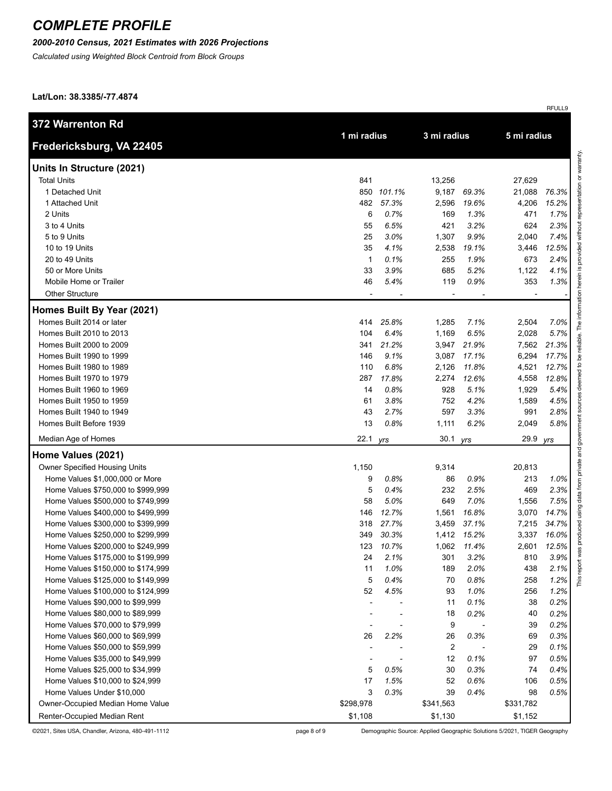### *2000-2010 Census, 2021 Estimates with 2026 Projections*

*Calculated using Weighted Block Centroid from Block Groups*

**Lat/Lon: 38.3385/-77.4874**

|                                    |              |            |                |             |             | RFULL9                           |
|------------------------------------|--------------|------------|----------------|-------------|-------------|----------------------------------|
| 372 Warrenton Rd                   |              |            |                |             |             |                                  |
| Fredericksburg, VA 22405           | 1 mi radius  |            | 3 mi radius    |             | 5 mi radius |                                  |
|                                    |              |            |                |             |             |                                  |
| Units In Structure (2021)          |              |            |                |             |             | representation or warranty.      |
| <b>Total Units</b>                 | 841          |            | 13,256         |             | 27,629      |                                  |
| 1 Detached Unit                    |              | 850 101.1% | 9,187          | 69.3%       | 21,088      | 76.3%                            |
| 1 Attached Unit                    | 482          | 57.3%      | 2,596          | 19.6%       | 4,206       | 15.2%                            |
| 2 Units                            | 6            | 0.7%       | 169            | 1.3%        | 471         | 1.7%                             |
| 3 to 4 Units                       | 55           | 6.5%       | 421            | 3.2%        | 624         | without<br>2.3%                  |
| 5 to 9 Units                       | 25           | 3.0%       | 1,307          | 9.9%        | 2,040       | 7.4%                             |
| 10 to 19 Units                     | 35           | 4.1%       | 2,538          | 19.1%       | 3,446       | provided<br>12.5%                |
| 20 to 49 Units                     | $\mathbf{1}$ | 0.1%       | 255            | 1.9%        | 673         | 2.4%                             |
| 50 or More Units                   | 33           | 3.9%       | 685            | 5.2%        | 1,122       | <u>ی</u><br>4.1%                 |
| Mobile Home or Trailer             | 46           | 5.4%       | 119            | 0.9%        | 353         | herein<br>1.3%                   |
| <b>Other Structure</b>             |              |            |                |             |             | reliable. The information        |
| Homes Built By Year (2021)         |              |            |                |             |             |                                  |
| Homes Built 2014 or later          | 414          | 25.8%      | 1,285          | 7.1%        | 2,504       | 7.0%                             |
| Homes Built 2010 to 2013           | 104          | 6.4%       | 1,169          | 6.5%        | 2,028       | 5.7%                             |
| Homes Built 2000 to 2009           | 341          | 21.2%      | 3,947          | 21.9%       | 7,562       | 21.3%                            |
| Homes Built 1990 to 1999           | 146          | 9.1%       | 3,087          | 17.1%       | 6,294       | 17.7%<br>ತಿ                      |
| Homes Built 1980 to 1989           | 110          | 6.8%       | 2,126          | 11.8%       | 4,521       | $\overline{\mathbf{c}}$<br>12.7% |
| Homes Built 1970 to 1979           | 287          | 17.8%      | 2,274          | 12.6%       | 4,558       | med<br>12.8%                     |
| Homes Built 1960 to 1969           | 14           | 0.8%       | 928            | 5.1%        | 1,929       | 5.4%                             |
| Homes Built 1950 to 1959           | 61           | 3.8%       | 752            | 4.2%        | 1,589       | 4.5%                             |
| Homes Built 1940 to 1949           | 43           | 2.7%       | 597            | 3.3%        | 991         | 2.8%                             |
| Homes Built Before 1939            | 13           | 0.8%       | 1,111          | 6.2%        | 2,049       | 5.8%                             |
| Median Age of Homes                | 22.1         | yrs        | 30.1 yrs       |             | 29.9        | government<br>yrs                |
| Home Values (2021)                 |              |            |                |             |             | data from private and            |
| Owner Specified Housing Units      | 1,150        |            | 9,314          |             | 20,813      |                                  |
| Home Values \$1,000,000 or More    | 9            | 0.8%       | 86             | 0.9%        | 213         | 1.0%                             |
| Home Values \$750,000 to \$999,999 | 5            | 0.4%       | 232            | 2.5%        | 469         | 2.3%                             |
| Home Values \$500,000 to \$749,999 | 58           | 5.0%       | 649            | 7.0%        | 1,556       | 7.5%                             |
| Home Values \$400,000 to \$499,999 | 146          | 12.7%      | 1,561          | 16.8%       | 3,070       | using<br>14.7%                   |
| Home Values \$300,000 to \$399,999 | 318          | 27.7%      | 3,459          | 37.1%       | 7,215       | 34.7%                            |
| Home Values \$250,000 to \$299,999 | 349          | 30.3%      | 1,412          | 15.2%       | 3,337       | produced<br>16.0%                |
| Home Values \$200,000 to \$249,999 | 123          | 10.7%      |                | 1,062 11.4% | 2,601       | 12.5%                            |
| Home Values \$175,000 to \$199,999 | 24           | 2.1%       | 301            | 3.2%        | 810         | report wa<br>3.9%                |
| Home Values \$150,000 to \$174,999 | 11           | 1.0%       | 189            | 2.0%        | 438         | 2.1%                             |
| Home Values \$125,000 to \$149,999 | 5            | 0.4%       | 70             | 0.8%        | 258         | This<br>1.2%                     |
| Home Values \$100,000 to \$124,999 | 52           | 4.5%       | 93             | 1.0%        | 256         | 1.2%                             |
| Home Values \$90,000 to \$99,999   |              |            | 11             | 0.1%        | 38          | 0.2%                             |
| Home Values \$80,000 to \$89,999   |              |            | 18             | 0.2%        | 40          | 0.2%                             |
| Home Values \$70,000 to \$79,999   |              |            | 9              |             | 39          | 0.2%                             |
| Home Values \$60,000 to \$69,999   | 26           | 2.2%       | 26             | 0.3%        | 69          | 0.3%                             |
| Home Values \$50,000 to \$59,999   |              |            | $\overline{c}$ |             | 29          | 0.1%                             |
| Home Values \$35,000 to \$49,999   |              |            | 12             | 0.1%        | 97          | 0.5%                             |
| Home Values \$25,000 to \$34,999   | 5            | 0.5%       | 30             | 0.3%        | 74          | 0.4%                             |
| Home Values \$10,000 to \$24,999   | 17           | 1.5%       | 52             | 0.6%        | 106         | 0.5%                             |
| Home Values Under \$10,000         | 3            | 0.3%       | 39             | 0.4%        | 98          | 0.5%                             |
| Owner-Occupied Median Home Value   | \$298,978    |            | \$341,563      |             | \$331,782   |                                  |
| Renter-Occupied Median Rent        | \$1,108      |            | \$1,130        |             | \$1,152     |                                  |

©2021, Sites USA, Chandler, Arizona, 480-491-1112 page 8 of 9 Demographic Source: Applied Geographic Solutions 5/2021, TIGER Geography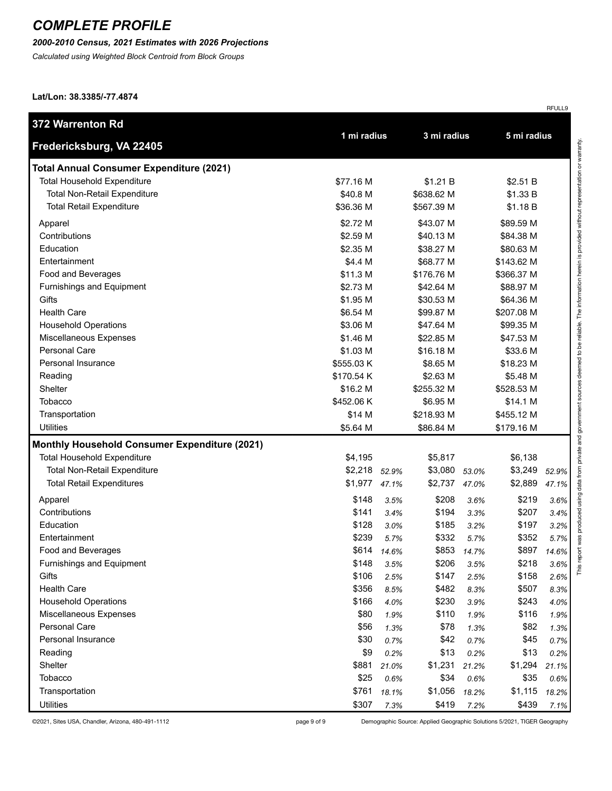### *2000-2010 Census, 2021 Estimates with 2026 Projections*

*Calculated using Weighted Block Centroid from Block Groups*

**Lat/Lon: 38.3385/-77.4874**

| 372 Warrenton Rd                                     |             |       |             |       |             |       |
|------------------------------------------------------|-------------|-------|-------------|-------|-------------|-------|
| Fredericksburg, VA 22405                             | 1 mi radius |       | 3 mi radius |       | 5 mi radius |       |
| <b>Total Annual Consumer Expenditure (2021)</b>      |             |       |             |       |             |       |
| <b>Total Household Expenditure</b>                   | \$77.16 M   |       | \$1.21 B    |       | \$2.51 B    |       |
| <b>Total Non-Retail Expenditure</b>                  | \$40.8 M    |       | \$638.62 M  |       | \$1.33 B    |       |
| <b>Total Retail Expenditure</b>                      | \$36.36 M   |       | \$567.39 M  |       | \$1.18 B    |       |
| Apparel                                              | \$2.72 M    |       | \$43.07 M   |       | \$89.59 M   |       |
| Contributions                                        | \$2.59 M    |       | \$40.13 M   |       | \$84.38 M   |       |
| Education                                            | \$2.35 M    |       | \$38.27 M   |       | \$80.63 M   |       |
| Entertainment                                        | \$4.4 M     |       | \$68.77 M   |       | \$143.62 M  |       |
| Food and Beverages                                   | \$11.3 M    |       | \$176.76 M  |       | \$366.37 M  |       |
| Furnishings and Equipment                            | \$2.73 M    |       | \$42.64 M   |       | \$88.97 M   |       |
| Gifts                                                | \$1.95 M    |       | \$30.53 M   |       | \$64.36 M   |       |
| <b>Health Care</b>                                   | \$6.54 M    |       | \$99.87 M   |       | \$207.08 M  |       |
| <b>Household Operations</b>                          | \$3.06 M    |       | \$47.64 M   |       | \$99.35 M   |       |
| Miscellaneous Expenses                               | \$1.46 M    |       | \$22.85 M   |       | \$47.53 M   |       |
| Personal Care                                        | \$1.03 M    |       | \$16.18 M   |       | \$33.6 M    |       |
| Personal Insurance                                   | \$555.03 K  |       | \$8.65 M    |       | \$18.23 M   |       |
| Reading                                              | \$170.54 K  |       | \$2.63 M    |       | \$5.48 M    |       |
| Shelter                                              | \$16.2 M    |       | \$255.32 M  |       | \$528.53 M  |       |
| <b>Tobacco</b>                                       | \$452.06 K  |       | \$6.95 M    |       | \$14.1 M    |       |
| Transportation                                       | \$14 M      |       | \$218.93 M  |       | \$455.12 M  |       |
| <b>Utilities</b>                                     | \$5.64 M    |       | \$86.84 M   |       | \$179.16 M  |       |
| <b>Monthly Household Consumer Expenditure (2021)</b> |             |       |             |       |             |       |
| <b>Total Household Expenditure</b>                   | \$4,195     |       | \$5,817     |       | \$6,138     |       |
| <b>Total Non-Retail Expenditure</b>                  | \$2,218     | 52.9% | \$3,080     | 53.0% | \$3,249     | 52.9% |
| <b>Total Retail Expenditures</b>                     | \$1,977     | 47.1% | \$2,737     | 47.0% | \$2,889     | 47.1% |
| Apparel                                              | \$148       | 3.5%  | \$208       | 3.6%  | \$219       | 3.6%  |
| Contributions                                        | \$141       | 3.4%  | \$194       | 3.3%  | \$207       | 3.4%  |
| Education                                            | \$128       | 3.0%  | \$185       | 3.2%  | \$197       | 3.2%  |
| Entertainment                                        | \$239       | 5.7%  | \$332       | 5.7%  | \$352       | 5.7%  |
| Food and Beverages                                   | \$614       | 14.6% | \$853       | 14.7% | \$897       | 14.6% |
| Furnishings and Equipment                            | \$148       | 3.5%  | \$206       | 3.5%  | \$218       | 3.6%  |
| Gifts                                                | \$106       | 2.5%  | \$147       | 2.5%  | \$158       | 2.6%  |
| <b>Health Care</b>                                   | \$356       | 8.5%  | \$482       | 8.3%  | \$507       | 8.3%  |
| <b>Household Operations</b>                          | \$166       | 4.0%  | \$230       | 3.9%  | \$243       | 4.0%  |
| Miscellaneous Expenses                               | \$80        | 1.9%  | \$110       | 1.9%  | \$116       | 1.9%  |
| Personal Care                                        | \$56        | 1.3%  | \$78        | 1.3%  | \$82        | 1.3%  |
| Personal Insurance                                   | \$30        | 0.7%  | \$42        | 0.7%  | \$45        | 0.7%  |
| Reading                                              | \$9         | 0.2%  | \$13        | 0.2%  | \$13        | 0.2%  |
| Shelter                                              | \$881       | 21.0% | \$1,231     | 21.2% | \$1,294     | 21.1% |
| Tobacco                                              | \$25        | 0.6%  | \$34        | 0.6%  | \$35        | 0.6%  |
| Transportation                                       | \$761       | 18.1% | \$1,056     | 18.2% | \$1,115     | 18.2% |
| <b>Utilities</b>                                     | \$307       | 7.3%  | \$419       | 7.2%  | \$439       | 7.1%  |